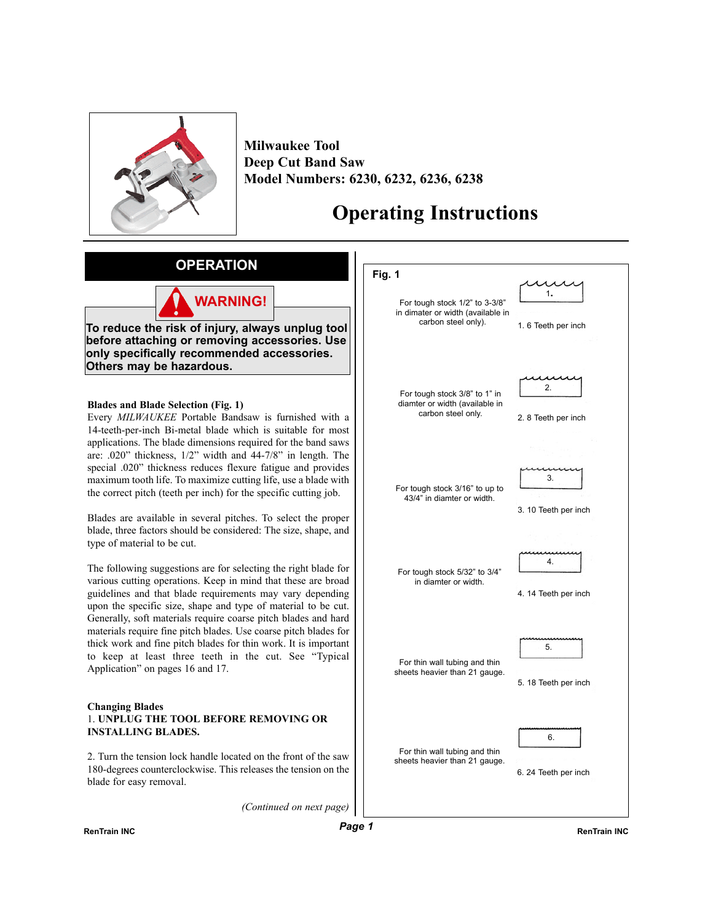

**Milwaukee Tool Deep Cut Band Saw Model Numbers: 6230, 6232, 6236, 6238**

# **Operating Instructions**